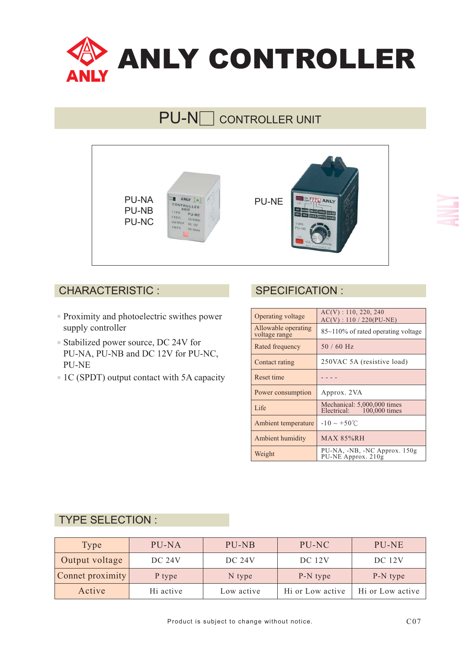

# PU-N**O** CONTROLLER UNIT



#### CHARACTERISTIC : SPECIFICATION :

- Proximity and photoelectric swithes power supply controller
- Stabilized power source, DC 24V for PU-NA, PU-NB and DC 12V for PU-NC, PU-NE
- 1C (SPDT) output contact with 5A capacity

| Operating voltage                    | $AC(V)$ : 110, 220, 240<br>$AC(V)$ : 110 / 220(PU-NE)    |
|--------------------------------------|----------------------------------------------------------|
| Allowable operating<br>voltage range | 85~110% of rated operating voltage                       |
| Rated frequency                      | $50/60$ Hz                                               |
| Contact rating                       | 250VAC 5A (resistive load)                               |
| Reset time                           |                                                          |
| Power consumption                    | Approx. 2VA                                              |
| Life                                 | Mechanical: 5,000,000 times<br>Electrical: 100,000 times |
| Ambient temperature                  | $-10 \sim +50^{\circ}$ C                                 |
| <b>Ambient humidity</b>              | <b>MAX 85%RH</b>                                         |
| Weight                               | PU-NA, -NB, -NC Approx. 150g<br>PU-NE Approx. 210g       |

#### TYPE SELECTION :

| Type             | PU-NA         | PU-NB         | PU-NC            | PU-NE            |
|------------------|---------------|---------------|------------------|------------------|
| Output voltage   | <b>DC 24V</b> | <b>DC 24V</b> | DC 12V           | <b>DC</b> 12V    |
| Connet proximity | P type        | N type        | P-N type         | P-N type         |
| Active           | Hi active     | Low active    | Hi or Low active | Hi or Low active |